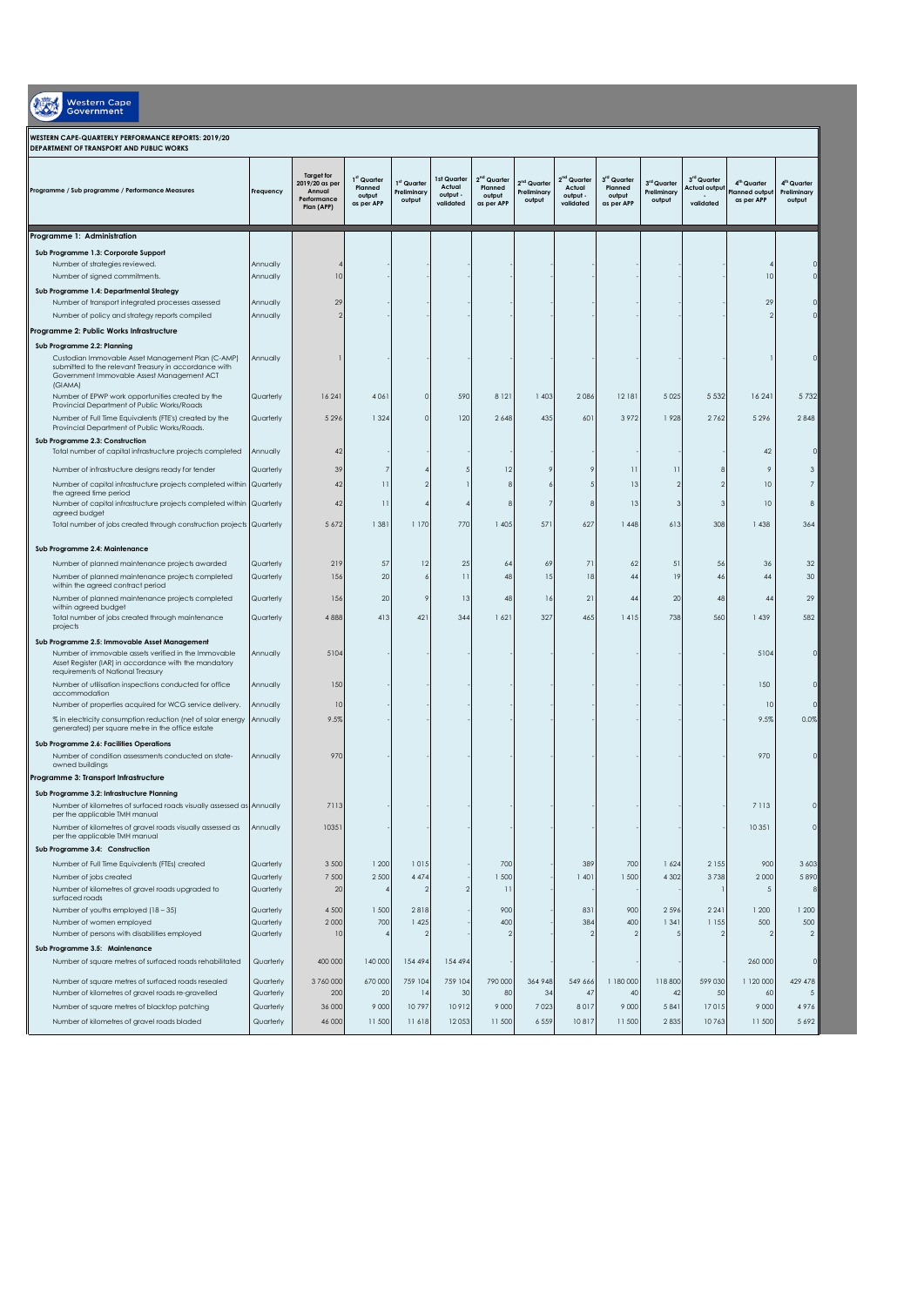| <b>Western Cape</b><br><b>Government</b>                                                                                                                                                            |           |                                                                            |                                                            |                                                  |                                                |                                                            |                                                  |                                                            |                                                |                                      |                                          |                                                       |                                                  |
|-----------------------------------------------------------------------------------------------------------------------------------------------------------------------------------------------------|-----------|----------------------------------------------------------------------------|------------------------------------------------------------|--------------------------------------------------|------------------------------------------------|------------------------------------------------------------|--------------------------------------------------|------------------------------------------------------------|------------------------------------------------|--------------------------------------|------------------------------------------|-------------------------------------------------------|--------------------------------------------------|
| WESTERN CAPE-QUARTERLY PERFORMANCE REPORTS: 2019/20<br>DEPARTMENT OF TRANSPORT AND PUBLIC WORKS                                                                                                     |           |                                                                            |                                                            |                                                  |                                                |                                                            |                                                  |                                                            |                                                |                                      |                                          |                                                       |                                                  |
| Programme / Sub programme / Performance Measures                                                                                                                                                    | Frequency | <b>Target for</b><br>2019/20 as per<br>Annual<br>Performance<br>Plan (APP) | 1 <sup>st</sup> Quarter<br>Planned<br>output<br>as per APP | 1 <sup>st</sup> Quarter<br>Preliminary<br>output | Ist Quarter<br>Actual<br>output -<br>validated | 2 <sup>nd</sup> Quarter<br>Planned<br>output<br>as per APP | 2 <sup>nd</sup> Quarter<br>Preliminary<br>output | 2 <sup>nd</sup> Quarter<br>Actual<br>output -<br>validated | 3rd Quarter<br>Planned<br>output<br>as per APP | 3rd Quarter<br>Preliminary<br>output | 3rd Quarter<br>Actual outpu<br>validated | 4 <sup>m</sup> Quarter<br>Planned outpu<br>as per APP | 4 <sup>th</sup> Quarter<br>Preliminary<br>output |
| Programme 1: Administration                                                                                                                                                                         |           |                                                                            |                                                            |                                                  |                                                |                                                            |                                                  |                                                            |                                                |                                      |                                          |                                                       |                                                  |
| Sub Programme 1.3: Corporate Support                                                                                                                                                                |           |                                                                            |                                                            |                                                  |                                                |                                                            |                                                  |                                                            |                                                |                                      |                                          |                                                       |                                                  |
| Number of strategies reviewed.                                                                                                                                                                      | Annually  |                                                                            |                                                            |                                                  |                                                |                                                            |                                                  |                                                            |                                                |                                      |                                          |                                                       |                                                  |
| Number of signed commitments.                                                                                                                                                                       | Annually  | 10                                                                         |                                                            |                                                  |                                                |                                                            |                                                  |                                                            |                                                |                                      |                                          | 10                                                    |                                                  |
| Sub Programme 1.4: Departmental Strategy                                                                                                                                                            |           |                                                                            |                                                            |                                                  |                                                |                                                            |                                                  |                                                            |                                                |                                      |                                          |                                                       |                                                  |
| Number of transport integrated processes assessed                                                                                                                                                   | Annually  | 29                                                                         |                                                            |                                                  |                                                |                                                            |                                                  |                                                            |                                                |                                      |                                          | 29                                                    |                                                  |
| Number of policy and strategy reports compiled                                                                                                                                                      | Annually  |                                                                            |                                                            |                                                  |                                                |                                                            |                                                  |                                                            |                                                |                                      |                                          |                                                       |                                                  |
| Programme 2: Public Works Infrastructure                                                                                                                                                            |           |                                                                            |                                                            |                                                  |                                                |                                                            |                                                  |                                                            |                                                |                                      |                                          |                                                       |                                                  |
| Sub Programme 2.2: Planning<br>Custodian Immovable Asset Management Plan (C-AMP)<br>submitted to the relevant Treasury in accordance with<br>Government Immovable Assest Management ACT<br>(GIAMA)  | Annually  |                                                                            |                                                            |                                                  |                                                |                                                            |                                                  |                                                            |                                                |                                      |                                          |                                                       |                                                  |
| Number of EPWP work opportunities created by the                                                                                                                                                    | Quarterly | 16 241                                                                     | 4 0 6 1                                                    | C                                                | 590                                            | 8 1 2 1                                                    | 1 403                                            | 2086                                                       | 12 18 1                                        | 5 0 2 5                              | 5 5 3 2                                  | 16 241                                                | 5732                                             |
| Provincial Department of Public Works/Roads                                                                                                                                                         | Quarterly |                                                                            |                                                            | $\cap$                                           | 120                                            |                                                            | 435                                              | 601                                                        | 3972                                           | 1928                                 | 2762                                     | 5296                                                  | 2848                                             |
| Number of Full Time Equivalents (FTE's) created by the<br>Provincial Department of Public Works/Roads.                                                                                              |           | 5 2 9 6                                                                    | 1 3 2 4                                                    |                                                  |                                                | 2 6 4 8                                                    |                                                  |                                                            |                                                |                                      |                                          |                                                       |                                                  |
| Sub Programme 2.3: Construction                                                                                                                                                                     |           |                                                                            |                                                            |                                                  |                                                |                                                            |                                                  |                                                            |                                                |                                      |                                          |                                                       |                                                  |
| Total number of capital infrastructure projects completed                                                                                                                                           | Annually  | 42                                                                         |                                                            |                                                  |                                                |                                                            |                                                  |                                                            |                                                |                                      |                                          | 42                                                    |                                                  |
| Number of infrastructure designs ready for tender                                                                                                                                                   | Quarterly | 39                                                                         |                                                            |                                                  |                                                | 12                                                         |                                                  |                                                            | 11                                             | $\mathbf{1}^{\circ}$                 |                                          | 9                                                     | 3                                                |
| Number of capital infrastructure projects completed within                                                                                                                                          | Quarterly | 42                                                                         |                                                            |                                                  |                                                |                                                            |                                                  |                                                            | 13                                             |                                      |                                          | 10                                                    |                                                  |
| the agreed time period<br>Number of capital infrastructure projects completed within                                                                                                                | Quarterly | 42                                                                         | $\mathbf{1}$                                               |                                                  |                                                | 8                                                          | 7                                                | 8                                                          | 13                                             | 3                                    | з                                        | 10                                                    | 8                                                |
| agreed budget                                                                                                                                                                                       |           |                                                                            |                                                            |                                                  |                                                |                                                            |                                                  |                                                            |                                                |                                      |                                          |                                                       |                                                  |
| Total number of jobs created through construction projects Quarterly                                                                                                                                |           | 5 6 7 2                                                                    | 1 3 8 1                                                    | 1 170                                            | 770                                            | 1405                                                       | 571                                              | 627                                                        | 1448                                           | 613                                  | 308                                      | 1 4 3 8                                               | 364                                              |
| Sub Programme 2.4: Maintenance                                                                                                                                                                      |           |                                                                            |                                                            |                                                  |                                                |                                                            |                                                  |                                                            |                                                |                                      |                                          |                                                       |                                                  |
| Number of planned maintenance projects awarded                                                                                                                                                      | Quarterly | 219                                                                        | 57                                                         | 12                                               | 25                                             | 64                                                         | 69                                               | 71                                                         | 62                                             | 51                                   | 56                                       | 36                                                    | 32                                               |
| Number of planned maintenance projects completed                                                                                                                                                    | Quarterly | 156                                                                        | 20                                                         |                                                  | 11                                             | 48                                                         | 15                                               | 18                                                         | 44                                             | 19                                   | 46                                       | 44                                                    | 30 <sup>°</sup>                                  |
| within the agreed contract period                                                                                                                                                                   |           |                                                                            |                                                            |                                                  |                                                |                                                            |                                                  |                                                            |                                                |                                      |                                          |                                                       |                                                  |
| Number of planned maintenance projects completed<br>within agreed budget                                                                                                                            | Quarterly | 156                                                                        | 20                                                         |                                                  | 13                                             | 48                                                         | 16                                               | 21                                                         | 44                                             | 20                                   | 48                                       | $4-$                                                  | 29                                               |
| Total number of jobs created through maintenance                                                                                                                                                    | Quarterly | 4888                                                                       | 413                                                        | 421                                              | 344                                            | 1621                                                       | 327                                              | 465                                                        | 1415                                           | 738                                  | 560                                      | 1 439                                                 | 582                                              |
| projects                                                                                                                                                                                            |           |                                                                            |                                                            |                                                  |                                                |                                                            |                                                  |                                                            |                                                |                                      |                                          |                                                       |                                                  |
| Sub Programme 2.5: Immovable Asset Management<br>Number of immovable assets verified in the Immovable<br>Asset Register (IAR) in accordance with the mandatory<br>requirements of National Treasury | Annually  | 5104                                                                       |                                                            |                                                  |                                                |                                                            |                                                  |                                                            |                                                |                                      |                                          | 5104                                                  |                                                  |
| Number of utilisation inspections conducted for office                                                                                                                                              | Annually  | 150                                                                        |                                                            |                                                  |                                                |                                                            |                                                  |                                                            |                                                |                                      |                                          | 150                                                   |                                                  |
| accommodation<br>Number of properties acquired for WCG service delivery.                                                                                                                            | Annually  | 10                                                                         |                                                            |                                                  |                                                |                                                            |                                                  |                                                            |                                                |                                      |                                          | 10                                                    |                                                  |
| % in electricity consumption reduction (net of solar energy                                                                                                                                         | Annually  | 9.5%                                                                       |                                                            |                                                  |                                                |                                                            |                                                  |                                                            |                                                |                                      |                                          | 9.5%                                                  | 0.0%                                             |
| generated) per square metre in the office estate                                                                                                                                                    |           |                                                                            |                                                            |                                                  |                                                |                                                            |                                                  |                                                            |                                                |                                      |                                          |                                                       |                                                  |
| Sub Programme 2.6: Facilities Operations                                                                                                                                                            |           |                                                                            |                                                            |                                                  |                                                |                                                            |                                                  |                                                            |                                                |                                      |                                          |                                                       |                                                  |
| Number of condition assessments conducted on state-<br>owned buildings                                                                                                                              | Annually  | 970                                                                        |                                                            |                                                  |                                                |                                                            |                                                  |                                                            |                                                |                                      |                                          | 970                                                   |                                                  |
| Programme 3: Transport Infrastructure                                                                                                                                                               |           |                                                                            |                                                            |                                                  |                                                |                                                            |                                                  |                                                            |                                                |                                      |                                          |                                                       |                                                  |
| Sub Programme 3.2: Infrastructure Planning                                                                                                                                                          |           |                                                                            |                                                            |                                                  |                                                |                                                            |                                                  |                                                            |                                                |                                      |                                          |                                                       |                                                  |
| Number of kilometres of surfaced roads visually assessed as Annually                                                                                                                                |           | 7113                                                                       |                                                            |                                                  |                                                |                                                            |                                                  |                                                            |                                                |                                      |                                          | 7113                                                  |                                                  |
| per the applicable TMH manual                                                                                                                                                                       |           | 10351                                                                      |                                                            |                                                  |                                                |                                                            |                                                  |                                                            |                                                |                                      |                                          | 10351                                                 | $\Omega$                                         |
| Number of kilometres of gravel roads visually assessed as<br>per the applicable TMH manual                                                                                                          | Annually  |                                                                            |                                                            |                                                  |                                                |                                                            |                                                  |                                                            |                                                |                                      |                                          |                                                       |                                                  |
| Sub Programme 3.4: Construction                                                                                                                                                                     |           |                                                                            |                                                            |                                                  |                                                |                                                            |                                                  |                                                            |                                                |                                      |                                          |                                                       |                                                  |
| Number of Full Time Equivalents (FTEs) created                                                                                                                                                      | Quarterly | 3 500                                                                      | 1 200                                                      | 1015                                             |                                                | 700                                                        |                                                  | 389                                                        | 700                                            | 1624                                 | 2 1 5 5                                  | 900                                                   | 3 6 0 3                                          |
| Number of jobs created                                                                                                                                                                              | Quarterly | 7 500                                                                      | 2 500                                                      | 4 4 7 4                                          |                                                | 1 500                                                      |                                                  | 1401                                                       | 1 500                                          | 4 3 0 2                              | 3738                                     | 2000                                                  | 5890                                             |
| Number of kilometres of gravel roads upgraded to<br>surfaced roads                                                                                                                                  | Quarterly | 20                                                                         |                                                            |                                                  |                                                | 11                                                         |                                                  |                                                            |                                                |                                      |                                          | 5                                                     |                                                  |
| Number of youths employed (18 - 35)                                                                                                                                                                 | Quarterly | 4 500                                                                      | 1 500                                                      | 2818                                             |                                                | 900                                                        |                                                  | 831                                                        | 900                                            | 2596                                 | 2 2 4 1                                  | 1 200                                                 | 1 200                                            |
| Number of women employed                                                                                                                                                                            | Quarterly | 2000                                                                       | 700                                                        | 1 4 2 5                                          |                                                | 400                                                        |                                                  | 384                                                        | 400                                            | 1 3 4 1                              | 1 1 5 5                                  | 500                                                   | 500                                              |
| Number of persons with disabilities employed                                                                                                                                                        | Quarterly | 10                                                                         |                                                            | 2                                                |                                                | $\mathfrak{D}$                                             |                                                  |                                                            |                                                |                                      |                                          |                                                       | $\overline{2}$                                   |
| Sub Programme 3.5: Maintenance                                                                                                                                                                      |           |                                                                            |                                                            |                                                  |                                                |                                                            |                                                  |                                                            |                                                |                                      |                                          |                                                       |                                                  |
| Number of square metres of surfaced roads rehabilitated                                                                                                                                             | Quarterly | 400 000                                                                    | 140 000                                                    | 154 494                                          | 154 494                                        |                                                            |                                                  |                                                            |                                                |                                      |                                          | 260 000                                               |                                                  |
| Number of square metres of surfaced roads resealed                                                                                                                                                  | Quarterly | 3760000                                                                    | 670 000                                                    | 759 104                                          | 759 104                                        | 790 000                                                    | 364 948                                          | 549 666                                                    | 1 180 000                                      | 118 800                              | 599 030                                  | 1 120 000                                             | 429 478                                          |
| Number of kilometres of gravel roads re-gravelled                                                                                                                                                   | Quarterly | 200                                                                        | 20                                                         | 4                                                | 30                                             | 80                                                         | 34                                               | 47                                                         | 40                                             | 42                                   | 50                                       | 60                                                    | 5                                                |
| Number of square metres of blacktop patching                                                                                                                                                        | Quarterly | 36 000                                                                     | 9 0 0 0                                                    | 10797                                            | 10912                                          | 9 0 0 0                                                    | 7023                                             | 8017                                                       | 9 0 0 0                                        | 5841                                 | 17015                                    | 9 0 0 0                                               | 4976                                             |
| Number of kilometres of gravel roads bladed                                                                                                                                                         | Quarterly | 46 000                                                                     | 11 500                                                     | 11618                                            | 12053                                          | 11 500                                                     | 6 5 5 9                                          | 10817                                                      | 11 500                                         | 2835                                 | 10763                                    | 11 500                                                | 5692                                             |